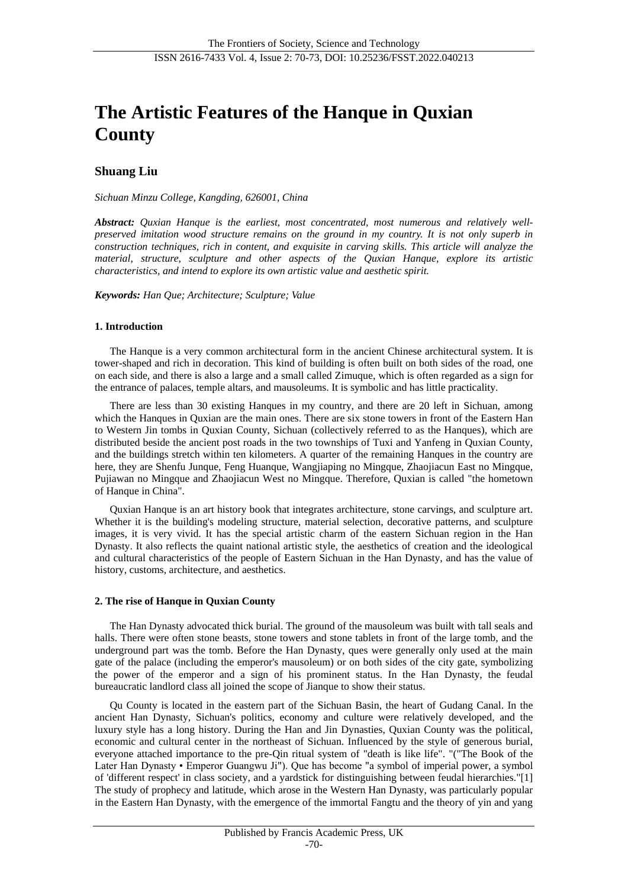# **The Artistic Features of the Hanque in Quxian County**

## **Shuang Liu**

*Sichuan Minzu College, Kangding, 626001, China*

*Abstract: Quxian Hanque is the earliest, most concentrated, most numerous and relatively wellpreserved imitation wood structure remains on the ground in my country. It is not only superb in construction techniques, rich in content, and exquisite in carving skills. This article will analyze the material, structure, sculpture and other aspects of the Quxian Hanque, explore its artistic characteristics, and intend to explore its own artistic value and aesthetic spirit.*

*Keywords: Han Que; Architecture; Sculpture; Value*

#### **1. Introduction**

The Hanque is a very common architectural form in the ancient Chinese architectural system. It is tower-shaped and rich in decoration. This kind of building is often built on both sides of the road, one on each side, and there is also a large and a small called Zimuque, which is often regarded as a sign for the entrance of palaces, temple altars, and mausoleums. It is symbolic and has little practicality.

There are less than 30 existing Hanques in my country, and there are 20 left in Sichuan, among which the Hanques in Quxian are the main ones. There are six stone towers in front of the Eastern Han to Western Jin tombs in Quxian County, Sichuan (collectively referred to as the Hanques), which are distributed beside the ancient post roads in the two townships of Tuxi and Yanfeng in Quxian County, and the buildings stretch within ten kilometers. A quarter of the remaining Hanques in the country are here, they are Shenfu Junque, Feng Huanque, Wangjiaping no Mingque, Zhaojiacun East no Mingque, Pujiawan no Mingque and Zhaojiacun West no Mingque. Therefore, Quxian is called "the hometown of Hanque in China".

Quxian Hanque is an art history book that integrates architecture, stone carvings, and sculpture art. Whether it is the building's modeling structure, material selection, decorative patterns, and sculpture images, it is very vivid. It has the special artistic charm of the eastern Sichuan region in the Han Dynasty. It also reflects the quaint national artistic style, the aesthetics of creation and the ideological and cultural characteristics of the people of Eastern Sichuan in the Han Dynasty, and has the value of history, customs, architecture, and aesthetics.

## **2. The rise of Hanque in Quxian County**

The Han Dynasty advocated thick burial. The ground of the mausoleum was built with tall seals and halls. There were often stone beasts, stone towers and stone tablets in front of the large tomb, and the underground part was the tomb. Before the Han Dynasty, ques were generally only used at the main gate of the palace (including the emperor's mausoleum) or on both sides of the city gate, symbolizing the power of the emperor and a sign of his prominent status. In the Han Dynasty, the feudal bureaucratic landlord class all joined the scope of Jianque to show their status.

Qu County is located in the eastern part of the Sichuan Basin, the heart of Gudang Canal. In the ancient Han Dynasty, Sichuan's politics, economy and culture were relatively developed, and the luxury style has a long history. During the Han and Jin Dynasties, Quxian County was the political, economic and cultural center in the northeast of Sichuan. Influenced by the style of generous burial, everyone attached importance to the pre-Qin ritual system of "death is like life". "("The Book of the Later Han Dynasty • Emperor Guangwu Ji"). Que has become "a symbol of imperial power, a symbol of 'different respect' in class society, and a yardstick for distinguishing between feudal hierarchies."[1] The study of prophecy and latitude, which arose in the Western Han Dynasty, was particularly popular in the Eastern Han Dynasty, with the emergence of the immortal Fangtu and the theory of yin and yang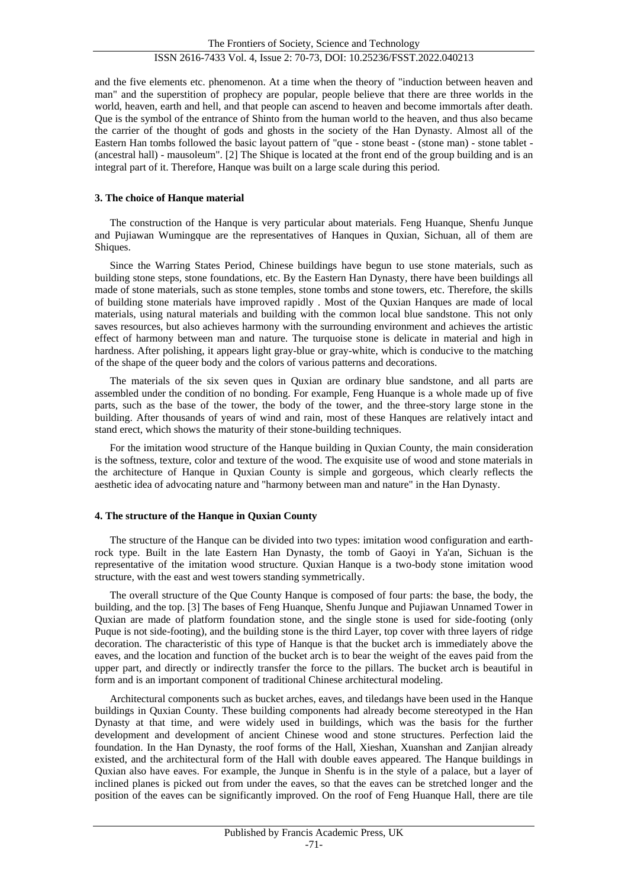and the five elements etc. phenomenon. At a time when the theory of "induction between heaven and man" and the superstition of prophecy are popular, people believe that there are three worlds in the world, heaven, earth and hell, and that people can ascend to heaven and become immortals after death. Que is the symbol of the entrance of Shinto from the human world to the heaven, and thus also became the carrier of the thought of gods and ghosts in the society of the Han Dynasty. Almost all of the Eastern Han tombs followed the basic layout pattern of "que - stone beast - (stone man) - stone tablet - (ancestral hall) - mausoleum". [2] The Shique is located at the front end of the group building and is an integral part of it. Therefore, Hanque was built on a large scale during this period.

## **3. The choice of Hanque material**

The construction of the Hanque is very particular about materials. Feng Huanque, Shenfu Junque and Pujiawan Wumingque are the representatives of Hanques in Quxian, Sichuan, all of them are Shiques.

Since the Warring States Period, Chinese buildings have begun to use stone materials, such as building stone steps, stone foundations, etc. By the Eastern Han Dynasty, there have been buildings all made of stone materials, such as stone temples, stone tombs and stone towers, etc. Therefore, the skills of building stone materials have improved rapidly . Most of the Quxian Hanques are made of local materials, using natural materials and building with the common local blue sandstone. This not only saves resources, but also achieves harmony with the surrounding environment and achieves the artistic effect of harmony between man and nature. The turquoise stone is delicate in material and high in hardness. After polishing, it appears light gray-blue or gray-white, which is conducive to the matching of the shape of the queer body and the colors of various patterns and decorations.

The materials of the six seven ques in Quxian are ordinary blue sandstone, and all parts are assembled under the condition of no bonding. For example, Feng Huanque is a whole made up of five parts, such as the base of the tower, the body of the tower, and the three-story large stone in the building. After thousands of years of wind and rain, most of these Hanques are relatively intact and stand erect, which shows the maturity of their stone-building techniques.

For the imitation wood structure of the Hanque building in Quxian County, the main consideration is the softness, texture, color and texture of the wood. The exquisite use of wood and stone materials in the architecture of Hanque in Quxian County is simple and gorgeous, which clearly reflects the aesthetic idea of advocating nature and "harmony between man and nature" in the Han Dynasty.

## **4. The structure of the Hanque in Quxian County**

The structure of the Hanque can be divided into two types: imitation wood configuration and earthrock type. Built in the late Eastern Han Dynasty, the tomb of Gaoyi in Ya'an, Sichuan is the representative of the imitation wood structure. Quxian Hanque is a two-body stone imitation wood structure, with the east and west towers standing symmetrically.

The overall structure of the Que County Hanque is composed of four parts: the base, the body, the building, and the top. [3] The bases of Feng Huanque, Shenfu Junque and Pujiawan Unnamed Tower in Quxian are made of platform foundation stone, and the single stone is used for side-footing (only Puque is not side-footing), and the building stone is the third Layer, top cover with three layers of ridge decoration. The characteristic of this type of Hanque is that the bucket arch is immediately above the eaves, and the location and function of the bucket arch is to bear the weight of the eaves paid from the upper part, and directly or indirectly transfer the force to the pillars. The bucket arch is beautiful in form and is an important component of traditional Chinese architectural modeling.

Architectural components such as bucket arches, eaves, and tiledangs have been used in the Hanque buildings in Quxian County. These building components had already become stereotyped in the Han Dynasty at that time, and were widely used in buildings, which was the basis for the further development and development of ancient Chinese wood and stone structures. Perfection laid the foundation. In the Han Dynasty, the roof forms of the Hall, Xieshan, Xuanshan and Zanjian already existed, and the architectural form of the Hall with double eaves appeared. The Hanque buildings in Quxian also have eaves. For example, the Junque in Shenfu is in the style of a palace, but a layer of inclined planes is picked out from under the eaves, so that the eaves can be stretched longer and the position of the eaves can be significantly improved. On the roof of Feng Huanque Hall, there are tile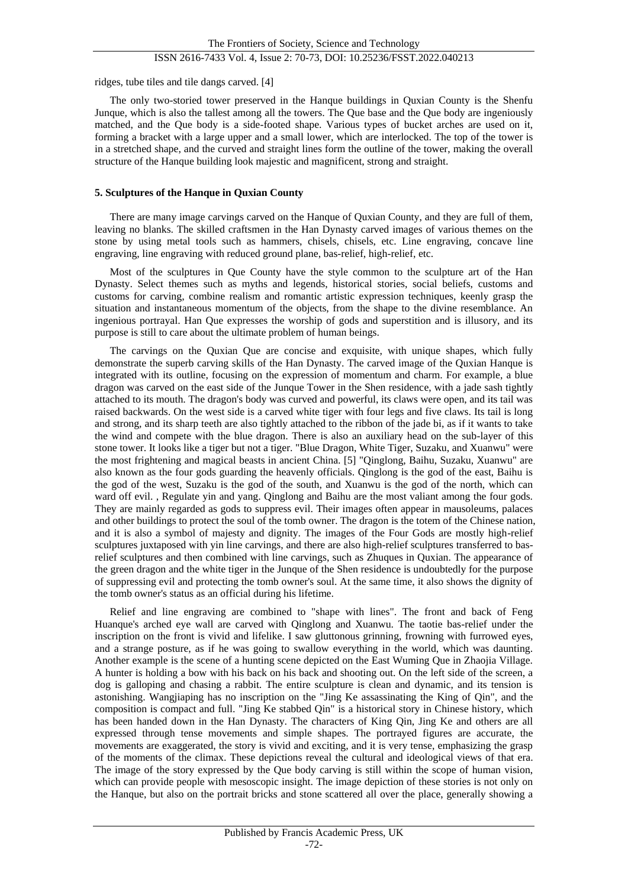ridges, tube tiles and tile dangs carved. [4]

The only two-storied tower preserved in the Hanque buildings in Quxian County is the Shenfu Junque, which is also the tallest among all the towers. The Que base and the Que body are ingeniously matched, and the Que body is a side-footed shape. Various types of bucket arches are used on it, forming a bracket with a large upper and a small lower, which are interlocked. The top of the tower is in a stretched shape, and the curved and straight lines form the outline of the tower, making the overall structure of the Hanque building look majestic and magnificent, strong and straight.

#### **5. Sculptures of the Hanque in Quxian County**

There are many image carvings carved on the Hanque of Quxian County, and they are full of them, leaving no blanks. The skilled craftsmen in the Han Dynasty carved images of various themes on the stone by using metal tools such as hammers, chisels, chisels, etc. Line engraving, concave line engraving, line engraving with reduced ground plane, bas-relief, high-relief, etc.

Most of the sculptures in Que County have the style common to the sculpture art of the Han Dynasty. Select themes such as myths and legends, historical stories, social beliefs, customs and customs for carving, combine realism and romantic artistic expression techniques, keenly grasp the situation and instantaneous momentum of the objects, from the shape to the divine resemblance. An ingenious portrayal. Han Que expresses the worship of gods and superstition and is illusory, and its purpose is still to care about the ultimate problem of human beings.

The carvings on the Quxian Que are concise and exquisite, with unique shapes, which fully demonstrate the superb carving skills of the Han Dynasty. The carved image of the Quxian Hanque is integrated with its outline, focusing on the expression of momentum and charm. For example, a blue dragon was carved on the east side of the Junque Tower in the Shen residence, with a jade sash tightly attached to its mouth. The dragon's body was curved and powerful, its claws were open, and its tail was raised backwards. On the west side is a carved white tiger with four legs and five claws. Its tail is long and strong, and its sharp teeth are also tightly attached to the ribbon of the jade bi, as if it wants to take the wind and compete with the blue dragon. There is also an auxiliary head on the sub-layer of this stone tower. It looks like a tiger but not a tiger. "Blue Dragon, White Tiger, Suzaku, and Xuanwu" were the most frightening and magical beasts in ancient China. [5] "Qinglong, Baihu, Suzaku, Xuanwu" are also known as the four gods guarding the heavenly officials. Qinglong is the god of the east, Baihu is the god of the west, Suzaku is the god of the south, and Xuanwu is the god of the north, which can ward off evil. , Regulate yin and yang. Qinglong and Baihu are the most valiant among the four gods. They are mainly regarded as gods to suppress evil. Their images often appear in mausoleums, palaces and other buildings to protect the soul of the tomb owner. The dragon is the totem of the Chinese nation, and it is also a symbol of majesty and dignity. The images of the Four Gods are mostly high-relief sculptures juxtaposed with yin line carvings, and there are also high-relief sculptures transferred to basrelief sculptures and then combined with line carvings, such as Zhuques in Quxian. The appearance of the green dragon and the white tiger in the Junque of the Shen residence is undoubtedly for the purpose of suppressing evil and protecting the tomb owner's soul. At the same time, it also shows the dignity of the tomb owner's status as an official during his lifetime.

Relief and line engraving are combined to "shape with lines". The front and back of Feng Huanque's arched eye wall are carved with Qinglong and Xuanwu. The taotie bas-relief under the inscription on the front is vivid and lifelike. I saw gluttonous grinning, frowning with furrowed eyes, and a strange posture, as if he was going to swallow everything in the world, which was daunting. Another example is the scene of a hunting scene depicted on the East Wuming Que in Zhaojia Village. A hunter is holding a bow with his back on his back and shooting out. On the left side of the screen, a dog is galloping and chasing a rabbit. The entire sculpture is clean and dynamic, and its tension is astonishing. Wangjiaping has no inscription on the "Jing Ke assassinating the King of Qin", and the composition is compact and full. "Jing Ke stabbed Qin" is a historical story in Chinese history, which has been handed down in the Han Dynasty. The characters of King Qin, Jing Ke and others are all expressed through tense movements and simple shapes. The portrayed figures are accurate, the movements are exaggerated, the story is vivid and exciting, and it is very tense, emphasizing the grasp of the moments of the climax. These depictions reveal the cultural and ideological views of that era. The image of the story expressed by the Que body carving is still within the scope of human vision, which can provide people with mesoscopic insight. The image depiction of these stories is not only on the Hanque, but also on the portrait bricks and stone scattered all over the place, generally showing a